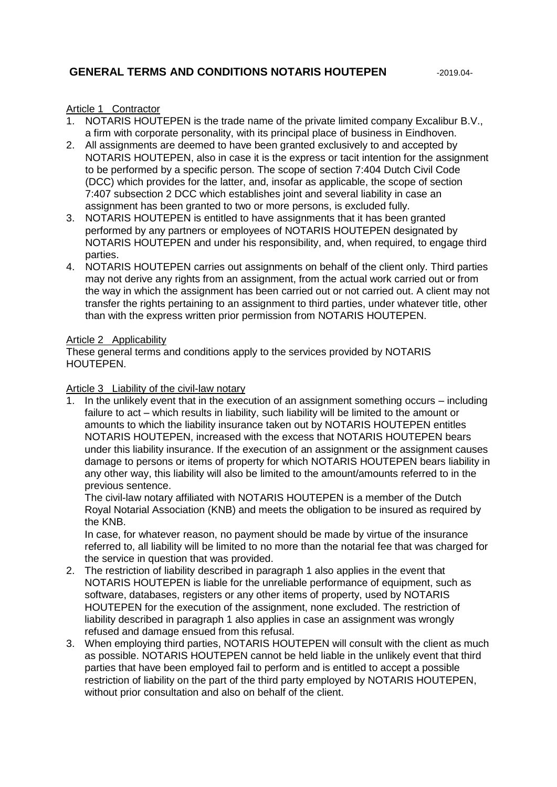# **GENERAL TERMS AND CONDITIONS NOTARIS HOUTEPEN** -2019.04-

#### Article 1 Contractor

- 1. NOTARIS HOUTEPEN is the trade name of the private limited company Excalibur B.V., a firm with corporate personality, with its principal place of business in Eindhoven.
- 2. All assignments are deemed to have been granted exclusively to and accepted by NOTARIS HOUTEPEN, also in case it is the express or tacit intention for the assignment to be performed by a specific person. The scope of section 7:404 Dutch Civil Code (DCC) which provides for the latter, and, insofar as applicable, the scope of section 7:407 subsection 2 DCC which establishes joint and several liability in case an assignment has been granted to two or more persons, is excluded fully.
- 3. NOTARIS HOUTEPEN is entitled to have assignments that it has been granted performed by any partners or employees of NOTARIS HOUTEPEN designated by NOTARIS HOUTEPEN and under his responsibility, and, when required, to engage third parties.
- 4. NOTARIS HOUTEPEN carries out assignments on behalf of the client only. Third parties may not derive any rights from an assignment, from the actual work carried out or from the way in which the assignment has been carried out or not carried out. A client may not transfer the rights pertaining to an assignment to third parties, under whatever title, other than with the express written prior permission from NOTARIS HOUTEPEN.

#### Article 2 Applicability

These general terms and conditions apply to the services provided by NOTARIS HOUTEPEN.

#### Article 3 Liability of the civil-law notary

1. In the unlikely event that in the execution of an assignment something occurs – including failure to act – which results in liability, such liability will be limited to the amount or amounts to which the liability insurance taken out by NOTARIS HOUTEPEN entitles NOTARIS HOUTEPEN, increased with the excess that NOTARIS HOUTEPEN bears under this liability insurance. If the execution of an assignment or the assignment causes damage to persons or items of property for which NOTARIS HOUTEPEN bears liability in any other way, this liability will also be limited to the amount/amounts referred to in the previous sentence.

The civil-law notary affiliated with NOTARIS HOUTEPEN is a member of the Dutch Royal Notarial Association (KNB) and meets the obligation to be insured as required by the KNB.

In case, for whatever reason, no payment should be made by virtue of the insurance referred to, all liability will be limited to no more than the notarial fee that was charged for the service in question that was provided.

- 2. The restriction of liability described in paragraph 1 also applies in the event that NOTARIS HOUTEPEN is liable for the unreliable performance of equipment, such as software, databases, registers or any other items of property, used by NOTARIS HOUTEPEN for the execution of the assignment, none excluded. The restriction of liability described in paragraph 1 also applies in case an assignment was wrongly refused and damage ensued from this refusal.
- 3. When employing third parties, NOTARIS HOUTEPEN will consult with the client as much as possible. NOTARIS HOUTEPEN cannot be held liable in the unlikely event that third parties that have been employed fail to perform and is entitled to accept a possible restriction of liability on the part of the third party employed by NOTARIS HOUTEPEN, without prior consultation and also on behalf of the client.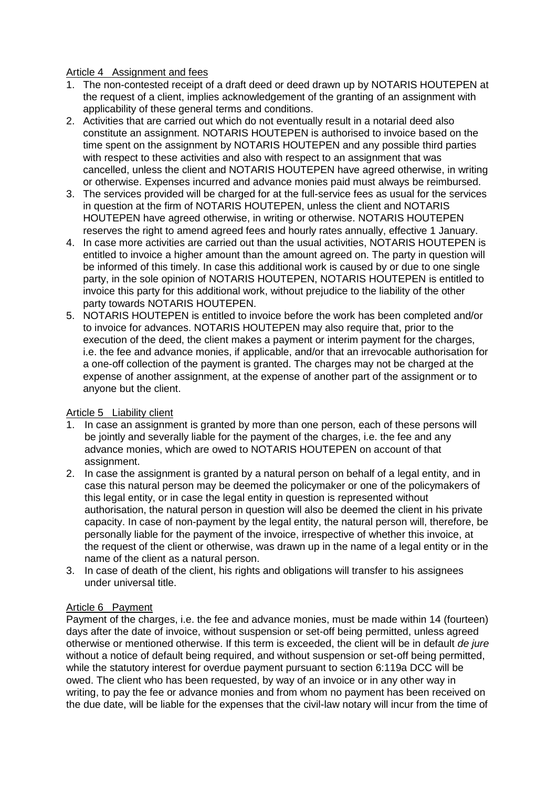#### Article 4 Assignment and fees

- 1. The non-contested receipt of a draft deed or deed drawn up by NOTARIS HOUTEPEN at the request of a client, implies acknowledgement of the granting of an assignment with applicability of these general terms and conditions.
- 2. Activities that are carried out which do not eventually result in a notarial deed also constitute an assignment. NOTARIS HOUTEPEN is authorised to invoice based on the time spent on the assignment by NOTARIS HOUTEPEN and any possible third parties with respect to these activities and also with respect to an assignment that was cancelled, unless the client and NOTARIS HOUTEPEN have agreed otherwise, in writing or otherwise. Expenses incurred and advance monies paid must always be reimbursed.
- 3. The services provided will be charged for at the full-service fees as usual for the services in question at the firm of NOTARIS HOUTEPEN, unless the client and NOTARIS HOUTEPEN have agreed otherwise, in writing or otherwise. NOTARIS HOUTEPEN reserves the right to amend agreed fees and hourly rates annually, effective 1 January.
- 4. In case more activities are carried out than the usual activities, NOTARIS HOUTEPEN is entitled to invoice a higher amount than the amount agreed on. The party in question will be informed of this timely. In case this additional work is caused by or due to one single party, in the sole opinion of NOTARIS HOUTEPEN, NOTARIS HOUTEPEN is entitled to invoice this party for this additional work, without prejudice to the liability of the other party towards NOTARIS HOUTEPEN.
- 5. NOTARIS HOUTEPEN is entitled to invoice before the work has been completed and/or to invoice for advances. NOTARIS HOUTEPEN may also require that, prior to the execution of the deed, the client makes a payment or interim payment for the charges, i.e. the fee and advance monies, if applicable, and/or that an irrevocable authorisation for a one-off collection of the payment is granted. The charges may not be charged at the expense of another assignment, at the expense of another part of the assignment or to anyone but the client.

## Article 5 Liability client

- 1. In case an assignment is granted by more than one person, each of these persons will be jointly and severally liable for the payment of the charges, i.e. the fee and any advance monies, which are owed to NOTARIS HOUTEPEN on account of that assignment.
- 2. In case the assignment is granted by a natural person on behalf of a legal entity, and in case this natural person may be deemed the policymaker or one of the policymakers of this legal entity, or in case the legal entity in question is represented without authorisation, the natural person in question will also be deemed the client in his private capacity. In case of non-payment by the legal entity, the natural person will, therefore, be personally liable for the payment of the invoice, irrespective of whether this invoice, at the request of the client or otherwise, was drawn up in the name of a legal entity or in the name of the client as a natural person.
- 3. In case of death of the client, his rights and obligations will transfer to his assignees under universal title.

## Article 6 Payment

Payment of the charges, i.e. the fee and advance monies, must be made within 14 (fourteen) days after the date of invoice, without suspension or set-off being permitted, unless agreed otherwise or mentioned otherwise. If this term is exceeded, the client will be in default *de jure* without a notice of default being required, and without suspension or set-off being permitted, while the statutory interest for overdue payment pursuant to section 6:119a DCC will be owed. The client who has been requested, by way of an invoice or in any other way in writing, to pay the fee or advance monies and from whom no payment has been received on the due date, will be liable for the expenses that the civil-law notary will incur from the time of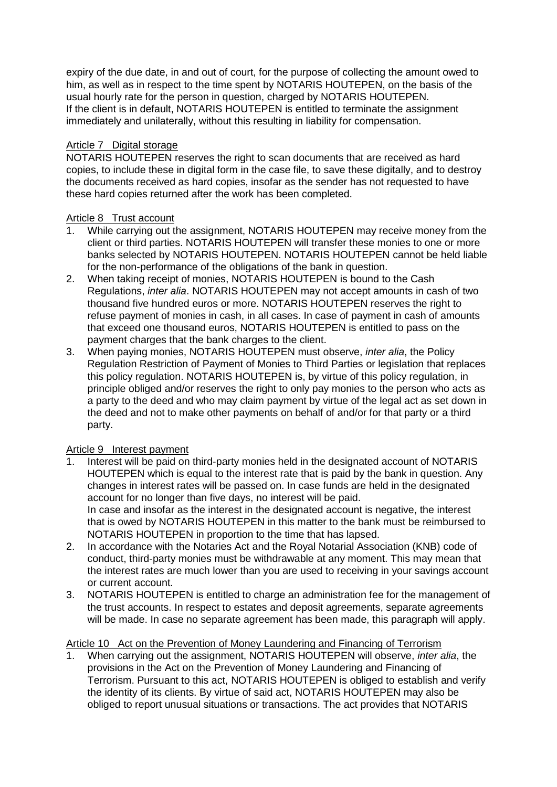expiry of the due date, in and out of court, for the purpose of collecting the amount owed to him, as well as in respect to the time spent by NOTARIS HOUTEPEN, on the basis of the usual hourly rate for the person in question, charged by NOTARIS HOUTEPEN. If the client is in default, NOTARIS HOUTEPEN is entitled to terminate the assignment immediately and unilaterally, without this resulting in liability for compensation.

# Article 7 Digital storage

NOTARIS HOUTEPEN reserves the right to scan documents that are received as hard copies, to include these in digital form in the case file, to save these digitally, and to destroy the documents received as hard copies, insofar as the sender has not requested to have these hard copies returned after the work has been completed.

## Article 8 Trust account

- 1. While carrying out the assignment, NOTARIS HOUTEPEN may receive money from the client or third parties. NOTARIS HOUTEPEN will transfer these monies to one or more banks selected by NOTARIS HOUTEPEN. NOTARIS HOUTEPEN cannot be held liable for the non-performance of the obligations of the bank in question.
- 2. When taking receipt of monies, NOTARIS HOUTEPEN is bound to the Cash Regulations, *inter alia*. NOTARIS HOUTEPEN may not accept amounts in cash of two thousand five hundred euros or more. NOTARIS HOUTEPEN reserves the right to refuse payment of monies in cash, in all cases. In case of payment in cash of amounts that exceed one thousand euros, NOTARIS HOUTEPEN is entitled to pass on the payment charges that the bank charges to the client.
- 3. When paying monies, NOTARIS HOUTEPEN must observe, *inter alia*, the Policy Regulation Restriction of Payment of Monies to Third Parties or legislation that replaces this policy regulation. NOTARIS HOUTEPEN is, by virtue of this policy regulation, in principle obliged and/or reserves the right to only pay monies to the person who acts as a party to the deed and who may claim payment by virtue of the legal act as set down in the deed and not to make other payments on behalf of and/or for that party or a third party.

## Article 9 Interest payment

- 1. Interest will be paid on third-party monies held in the designated account of NOTARIS HOUTEPEN which is equal to the interest rate that is paid by the bank in question. Any changes in interest rates will be passed on. In case funds are held in the designated account for no longer than five days, no interest will be paid. In case and insofar as the interest in the designated account is negative, the interest that is owed by NOTARIS HOUTEPEN in this matter to the bank must be reimbursed to NOTARIS HOUTEPEN in proportion to the time that has lapsed.
- 2. In accordance with the Notaries Act and the Royal Notarial Association (KNB) code of conduct, third-party monies must be withdrawable at any moment. This may mean that the interest rates are much lower than you are used to receiving in your savings account or current account.
- 3. NOTARIS HOUTEPEN is entitled to charge an administration fee for the management of the trust accounts. In respect to estates and deposit agreements, separate agreements will be made. In case no separate agreement has been made, this paragraph will apply.

# Article 10 Act on the Prevention of Money Laundering and Financing of Terrorism

1. When carrying out the assignment, NOTARIS HOUTEPEN will observe, *inter alia*, the provisions in the Act on the Prevention of Money Laundering and Financing of Terrorism. Pursuant to this act, NOTARIS HOUTEPEN is obliged to establish and verify the identity of its clients. By virtue of said act, NOTARIS HOUTEPEN may also be obliged to report unusual situations or transactions. The act provides that NOTARIS